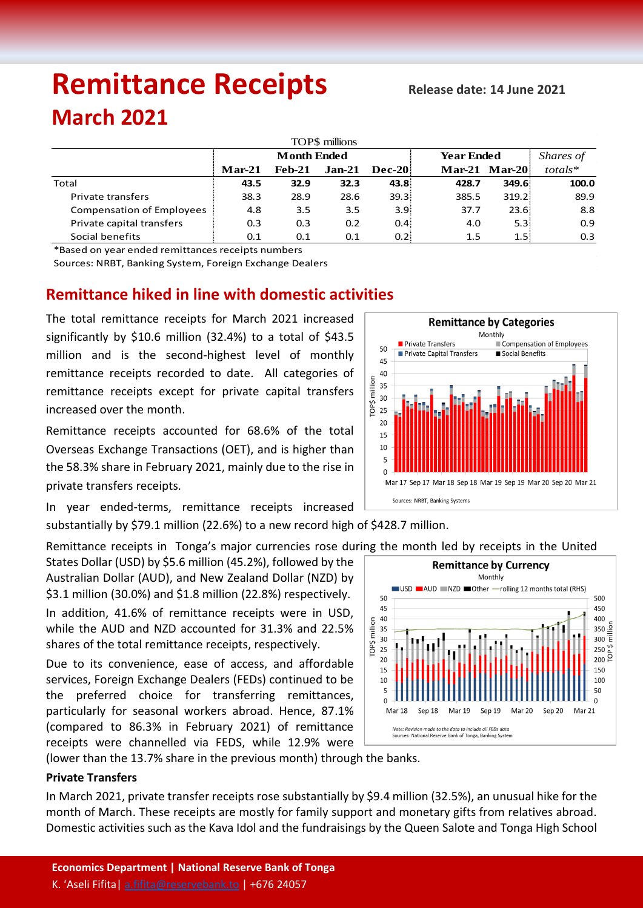# **Remittance Receipts** *Release date: 14 June 2021* **March 2021**

| TOP\$ millions                   |                    |          |                  |                  |                   |                  |            |  |  |  |  |  |
|----------------------------------|--------------------|----------|------------------|------------------|-------------------|------------------|------------|--|--|--|--|--|
|                                  | <b>Month Ended</b> |          |                  |                  | <b>Year Ended</b> |                  | Shares of  |  |  |  |  |  |
|                                  | $Mar-21$           | $Feb-21$ | $Jan-21$         | <b>Dec-20</b>    |                   | Mar-21 Mar-20    | $totals^*$ |  |  |  |  |  |
| Total                            | 43.5               | 32.9     | 32.3             | 43.8             | 428.7             | 349.6            | 100.0      |  |  |  |  |  |
| <b>Private transfers</b>         | 38.3               | 28.9     | 28.6             | 39.3             | 385.5             | 319.2            | 89.9       |  |  |  |  |  |
| <b>Compensation of Employees</b> | 4.8                | 3.5      | 3.5              | 3.9 <sup>1</sup> | 37.7              | 23.6:            | 8.8        |  |  |  |  |  |
| Private capital transfers        | 0.3                | 0.3      | 0.2 <sub>0</sub> | 0.4              | 4.0               | 5.3 <sup>1</sup> | 0.9        |  |  |  |  |  |
| Social benefits                  | 0.1                | 0.1      | 0.1              | 0.2              | 1.5               | 1.5:             | 0.3        |  |  |  |  |  |

\*Based on year ended remittances receipts numbers

Sources: NRBT, Banking System, Foreign Exchange Dealers

# **Remittance hiked in line with domestic activities**

The total remittance receipts for March 2021 increased significantly by \$10.6 million (32.4%) to a total of \$43.5 million and is the second-highest level of monthly remittance receipts recorded to date. All categories of remittance receipts except for private capital transfers increased over the month.

Remittance receipts accounted for 68.6% of the total Overseas Exchange Transactions (OET), and is higher than the 58.3% share in February 2021, mainly due to the rise in private transfers receipts.

In year ended-terms, remittance receipts increased

substantially by \$79.1 million (22.6%) to a new record high of \$428.7 million.

Remittance receipts in Tonga's major currencies rose during the month led by receipts in the United

States Dollar (USD) by \$5.6 million (45.2%), followed by the Australian Dollar (AUD), and New Zealand Dollar (NZD) by \$3.1 million (30.0%) and \$1.8 million (22.8%) respectively.

In addition, 41.6% of remittance receipts were in USD, while the AUD and NZD accounted for 31.3% and 22.5% shares of the total remittance receipts, respectively.

Due to its convenience, ease of access, and affordable services, Foreign Exchange Dealers (FEDs) continued to be the preferred choice for transferring remittances, particularly for seasonal workers abroad. Hence, 87.1% (compared to 86.3% in February 2021) of remittance receipts were channelled via FEDS, while 12.9% were



**Remittance by Currency** 

(lower than the 13.7% share in the previous month) through the banks.

## **Private Transfers**

In March 2021, private transfer receipts rose substantially by \$9.4 million (32.5%), an unusual hike for the month of March. These receipts are mostly for family support and monetary gifts from relatives abroad. Domestic activities such as the Kava Idol and the fundraisings by the Queen Salote and Tonga High School

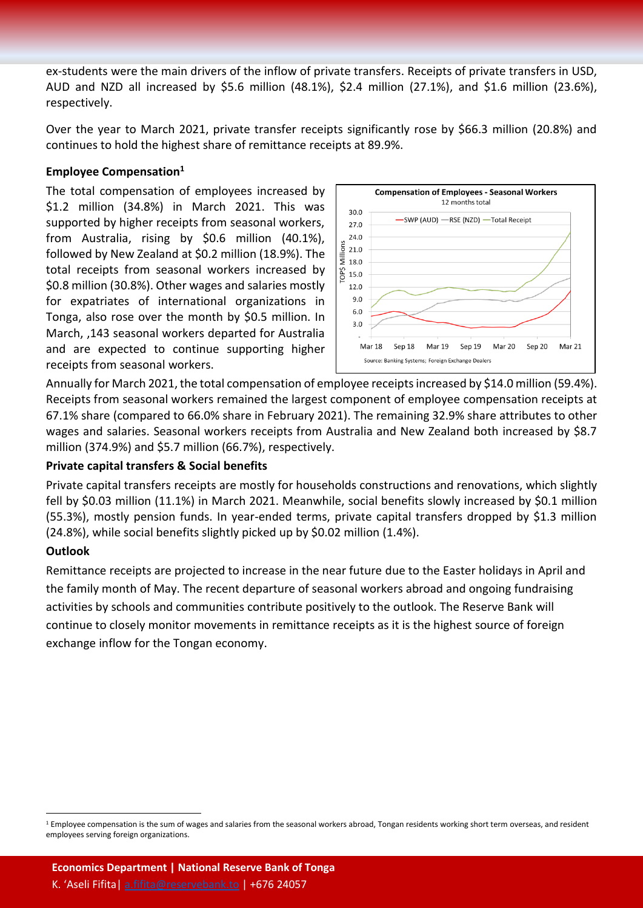ex-students were the main drivers of the inflow of private transfers. Receipts of private transfers in USD, AUD and NZD all increased by \$5.6 million (48.1%), \$2.4 million (27.1%), and \$1.6 million (23.6%), respectively.

Over the year to March 2021, private transfer receipts significantly rose by \$66.3 million (20.8%) and continues to hold the highest share of remittance receipts at 89.9%.

#### **Employee Compensation<sup>1</sup>**

The total compensation of employees increased by \$1.2 million (34.8%) in March 2021. This was supported by higher receipts from seasonal workers, from Australia, rising by \$0.6 million (40.1%), followed by New Zealand at \$0.2 million (18.9%). The total receipts from seasonal workers increased by \$0.8 million (30.8%). Other wages and salaries mostly for expatriates of international organizations in Tonga, also rose over the month by \$0.5 million. In March, ,143 seasonal workers departed for Australia and are expected to continue supporting higher receipts from seasonal workers.



Annually for March 2021, the total compensation of employee receiptsincreased by \$14.0 million (59.4%). Receipts from seasonal workers remained the largest component of employee compensation receipts at 67.1% share (compared to 66.0% share in February 2021). The remaining 32.9% share attributes to other wages and salaries. Seasonal workers receipts from Australia and New Zealand both increased by \$8.7 million (374.9%) and \$5.7 million (66.7%), respectively.

#### **Private capital transfers & Social benefits**

Private capital transfers receipts are mostly for households constructions and renovations, which slightly fell by \$0.03 million (11.1%) in March 2021. Meanwhile, social benefits slowly increased by \$0.1 million (55.3%), mostly pension funds. In year-ended terms, private capital transfers dropped by \$1.3 million (24.8%), while social benefits slightly picked up by \$0.02 million (1.4%).

## **Outlook**

 $\ddot{\phantom{a}}$ 

Remittance receipts are projected to increase in the near future due to the Easter holidays in April and the family month of May. The recent departure of seasonal workers abroad and ongoing fundraising activities by schools and communities contribute positively to the outlook. The Reserve Bank will continue to closely monitor movements in remittance receipts as it is the highest source of foreign exchange inflow for the Tongan economy.

<sup>&</sup>lt;sup>1</sup> Employee compensation is the sum of wages and salaries from the seasonal workers abroad, Tongan residents working short term overseas, and resident employees serving foreign organizations.